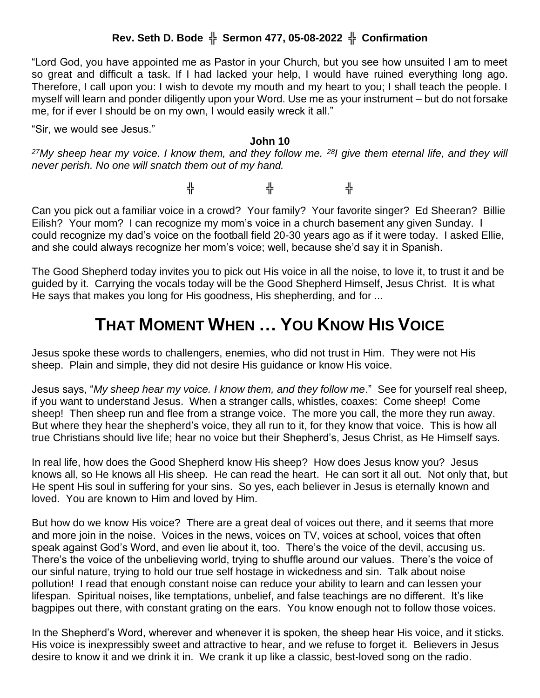## **Rev. Seth D. Bode** ╬ **Sermon 477, 05-08-2022** ╬ **Confirmation**

"Lord God, you have appointed me as Pastor in your Church, but you see how unsuited I am to meet so great and difficult a task. If I had lacked your help, I would have ruined everything long ago. Therefore, I call upon you: I wish to devote my mouth and my heart to you; I shall teach the people. I myself will learn and ponder diligently upon your Word. Use me as your instrument – but do not forsake me, for if ever I should be on my own, I would easily wreck it all."

"Sir, we would see Jesus."

## **John 10**

*<sup>27</sup>My sheep hear my voice. I know them, and they follow me. <sup>28</sup>I give them eternal life, and they will never perish. No one will snatch them out of my hand.* 

╬ ╬ ╬

Can you pick out a familiar voice in a crowd? Your family? Your favorite singer? Ed Sheeran? Billie Eilish? Your mom? I can recognize my mom's voice in a church basement any given Sunday. I could recognize my dad's voice on the football field 20-30 years ago as if it were today. I asked Ellie, and she could always recognize her mom's voice; well, because she'd say it in Spanish.

The Good Shepherd today invites you to pick out His voice in all the noise, to love it, to trust it and be guided by it. Carrying the vocals today will be the Good Shepherd Himself, Jesus Christ. It is what He says that makes you long for His goodness, His shepherding, and for ...

## **THAT MOMENT WHEN … YOU KNOW HIS VOICE**

Jesus spoke these words to challengers, enemies, who did not trust in Him. They were not His sheep. Plain and simple, they did not desire His guidance or know His voice.

Jesus says, "*My sheep hear my voice. I know them, and they follow me*." See for yourself real sheep, if you want to understand Jesus. When a stranger calls, whistles, coaxes: Come sheep! Come sheep! Then sheep run and flee from a strange voice. The more you call, the more they run away. But where they hear the shepherd's voice, they all run to it, for they know that voice. This is how all true Christians should live life; hear no voice but their Shepherd's, Jesus Christ, as He Himself says.

In real life, how does the Good Shepherd know His sheep? How does Jesus know you? Jesus knows all, so He knows all His sheep. He can read the heart. He can sort it all out. Not only that, but He spent His soul in suffering for your sins. So yes, each believer in Jesus is eternally known and loved. You are known to Him and loved by Him.

But how do we know His voice? There are a great deal of voices out there, and it seems that more and more join in the noise. Voices in the news, voices on TV, voices at school, voices that often speak against God's Word, and even lie about it, too. There's the voice of the devil, accusing us. There's the voice of the unbelieving world, trying to shuffle around our values. There's the voice of our sinful nature, trying to hold our true self hostage in wickedness and sin. Talk about noise pollution! I read that enough constant noise can reduce your ability to learn and can lessen your lifespan. Spiritual noises, like temptations, unbelief, and false teachings are no different. It's like bagpipes out there, with constant grating on the ears. You know enough not to follow those voices.

In the Shepherd's Word, wherever and whenever it is spoken, the sheep hear His voice, and it sticks. His voice is inexpressibly sweet and attractive to hear, and we refuse to forget it. Believers in Jesus desire to know it and we drink it in. We crank it up like a classic, best-loved song on the radio.